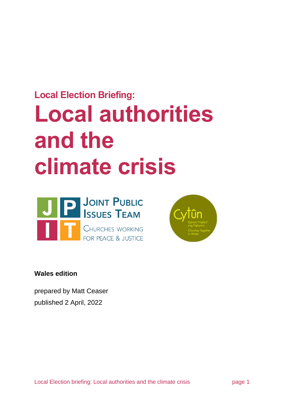# **Local Election Briefing: Local authorities and the climate crisis**





**Wales edition**

prepared by Matt Ceaser published 2 April, 2022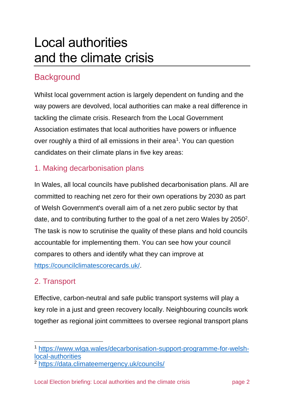# Local authorities and the climate crisis

# **Background**

Whilst local government action is largely dependent on funding and the way powers are devolved, local authorities can make a real difference in tackling the climate crisis. Research from the Local Government Association estimates that local authorities have powers or influence over roughly a third of all emissions in their area<sup>1</sup>. You can question candidates on their climate plans in five key areas:

#### 1. Making decarbonisation plans

In Wales, all local councils have published decarbonisation plans. All are committed to reaching net zero for their own operations by 2030 as part of Welsh Government's overall aim of a net zero public sector by that date, and to contributing further to the goal of a net zero Wales by  $2050^2$ . The task is now to scrutinise the quality of these plans and hold councils accountable for implementing them. You can see how your council compares to others and identify what they can improve at [https://councilclimatescorecards.uk/.](https://councilclimatescorecards.uk/)

#### 2. Transport

Effective, carbon-neutral and safe public transport systems will play a key role in a just and green recovery locally. Neighbouring councils work together as regional joint committees to oversee regional transport plans

<sup>1</sup> [https://www.wlga.wales/decarbonisation-support-programme-for-welsh](https://www.wlga.wales/decarbonisation-support-programme-for-welsh-local-authorities)[local-authorities](https://www.wlga.wales/decarbonisation-support-programme-for-welsh-local-authorities)

<sup>2</sup> <https://data.climateemergency.uk/councils/>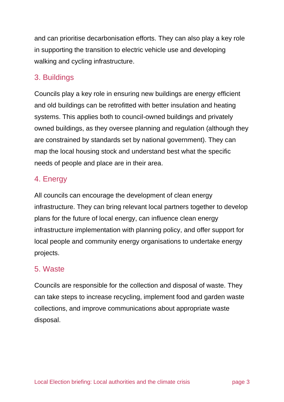and can prioritise decarbonisation efforts. They can also play a key role in supporting the transition to electric vehicle use and developing walking and cycling infrastructure.

#### 3. Buildings

Councils play a key role in ensuring new buildings are energy efficient and old buildings can be retrofitted with better insulation and heating systems. This applies both to council-owned buildings and privately owned buildings, as they oversee planning and regulation (although they are constrained by standards set by national government). They can map the local housing stock and understand best what the specific needs of people and place are in their area.

#### 4. Energy

All councils can encourage the development of clean energy infrastructure. They can bring relevant local partners together to develop plans for the future of local energy, can influence clean energy infrastructure implementation with planning policy, and offer support for local people and community energy organisations to undertake energy projects.

#### 5. Waste

Councils are responsible for the collection and disposal of waste. They can take steps to increase recycling, implement food and garden waste collections, and improve communications about appropriate waste disposal.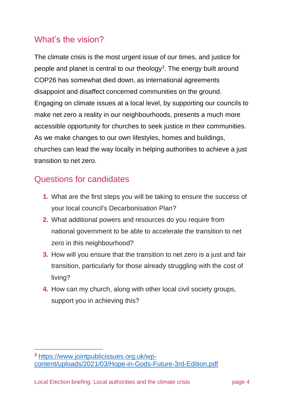# What's the vision?

The climate crisis is the most urgent issue of our times, and justice for people and planet is central to our theology<sup>3</sup>. The energy built around COP26 has somewhat died down, as international agreements disappoint and disaffect concerned communities on the ground. Engaging on climate issues at a local level, by supporting our councils to make net zero a reality in our neighbourhoods, presents a much more accessible opportunity for churches to seek justice in their communities. As we make changes to our own lifestyles, homes and buildings, churches can lead the way locally in helping authorities to achieve a just transition to net zero.

### Questions for candidates

- **1.** What are the first steps you will be taking to ensure the success of your local council's Decarbonisation Plan?
- **2.** What additional powers and resources do you require from national government to be able to accelerate the transition to net zero in this neighbourhood?
- **3.** How will you ensure that the transition to net zero is a just and fair transition, particularly for those already struggling with the cost of living?
- **4.** How can my church, along with other local civil society groups, support you in achieving this?

<sup>3</sup> [https://www.jointpublicissues.org.uk/wp](https://www.jointpublicissues.org.uk/wp-content/uploads/2021/03/Hope-in-Gods-Future-3rd-Edition.pdf)[content/uploads/2021/03/Hope-in-Gods-Future-3rd-Edition.pdf](https://www.jointpublicissues.org.uk/wp-content/uploads/2021/03/Hope-in-Gods-Future-3rd-Edition.pdf)